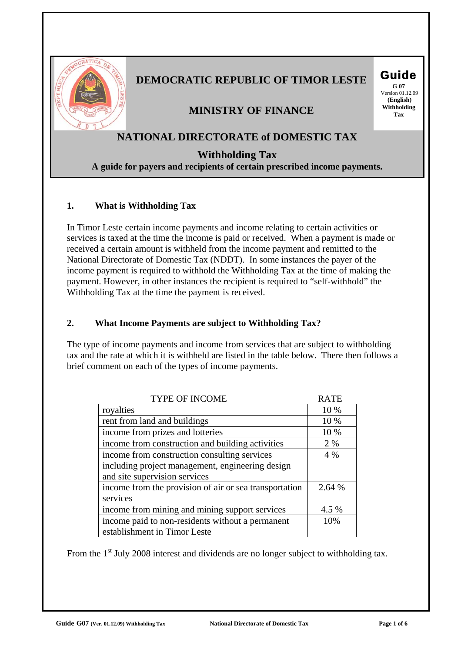

# **DEMOCRATIC REPUBLIC OF TIMOR LESTE Guide**

 Version 01.12.09  **(English)**

# **MINISTRY OF FINANCE** Withhold

# **NATIONAL DIRECTORATE of DOMESTIC TAX**

**Withholding Tax** 

**A guide for payers and recipients of certain prescribed income payments.**

# **1. What is Withholding Tax**

In Timor Leste certain income payments and income relating to certain activities or services is taxed at the time the income is paid or received. When a payment is made or received a certain amount is withheld from the income payment and remitted to the National Directorate of Domestic Tax (NDDT). In some instances the payer of the income payment is required to withhold the Withholding Tax at the time of making the payment. However, in other instances the recipient is required to "self-withhold" the Withholding Tax at the time the payment is received.

# **2. What Income Payments are subject to Withholding Tax?**

The type of income payments and income from services that are subject to withholding tax and the rate at which it is withheld are listed in the table below. There then follows a brief comment on each of the types of income payments.

| <b>TYPE OF INCOME</b>                                  | <b>RATE</b> |
|--------------------------------------------------------|-------------|
| royalties                                              | 10 %        |
| rent from land and buildings                           | 10 %        |
| income from prizes and lotteries                       | 10 %        |
| income from construction and building activities       | 2 %         |
| income from construction consulting services           | 4 %         |
| including project management, engineering design       |             |
| and site supervision services                          |             |
| income from the provision of air or sea transportation | 2.64 %      |
| services                                               |             |
| income from mining and mining support services         | 4.5 %       |
| income paid to non-residents without a permanent       | 10%         |
| establishment in Timor Leste                           |             |

From the 1<sup>st</sup> July 2008 interest and dividends are no longer subject to withholding tax.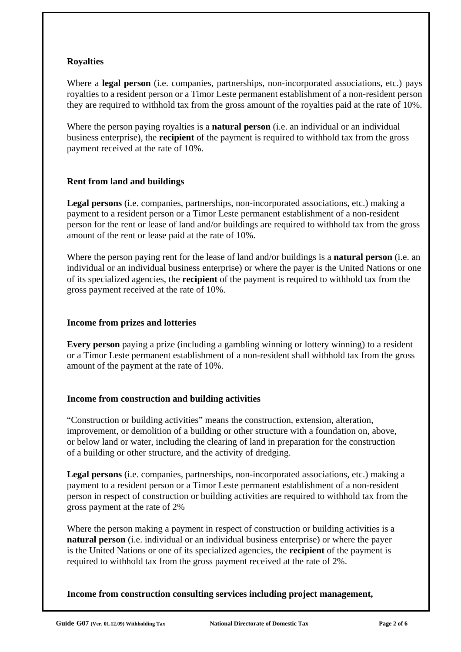# **Royalties**

Where a **legal person** (i.e. companies, partnerships, non-incorporated associations, etc.) pays royalties to a resident person or a Timor Leste permanent establishment of a non-resident person they are required to withhold tax from the gross amount of the royalties paid at the rate of 10%.

Where the person paying royalties is a **natural person** (i.e. an individual or an individual business enterprise), the **recipient** of the payment is required to withhold tax from the gross payment received at the rate of 10%.

# **Rent from land and buildings**

**Legal persons** (i.e. companies, partnerships, non-incorporated associations, etc.) making a payment to a resident person or a Timor Leste permanent establishment of a non-resident person for the rent or lease of land and/or buildings are required to withhold tax from the gross amount of the rent or lease paid at the rate of 10%.

Where the person paying rent for the lease of land and/or buildings is a **natural person** (i.e. an individual or an individual business enterprise) or where the payer is the United Nations or one of its specialized agencies, the **recipient** of the payment is required to withhold tax from the gross payment received at the rate of 10%.

## **Income from prizes and lotteries**

**Every person** paying a prize (including a gambling winning or lottery winning) to a resident or a Timor Leste permanent establishment of a non-resident shall withhold tax from the gross amount of the payment at the rate of 10%.

# **Income from construction and building activities**

"Construction or building activities" means the construction, extension, alteration, improvement, or demolition of a building or other structure with a foundation on, above, or below land or water, including the clearing of land in preparation for the construction of a building or other structure, and the activity of dredging.

**Legal persons** (i.e. companies, partnerships, non-incorporated associations, etc.) making a payment to a resident person or a Timor Leste permanent establishment of a non-resident person in respect of construction or building activities are required to withhold tax from the gross payment at the rate of 2%

Where the person making a payment in respect of construction or building activities is a **natural person** (i.e. individual or an individual business enterprise) or where the payer is the United Nations or one of its specialized agencies, the **recipient** of the payment is required to withhold tax from the gross payment received at the rate of 2%.

**Income from construction consulting services including project management,**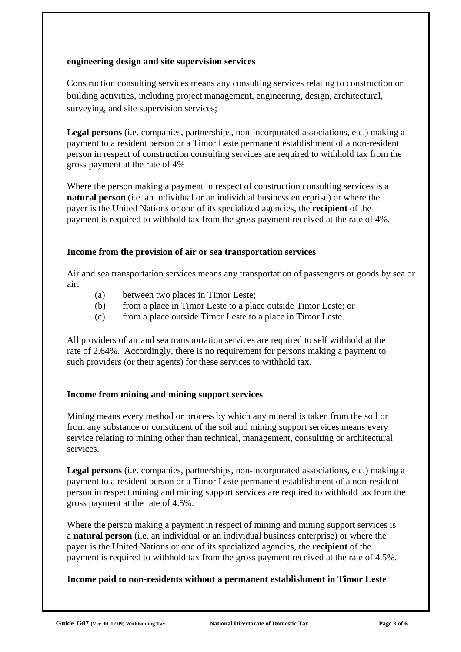## **engineering design and site supervision services**

Construction consulting services means any consulting services relating to construction or building activities, including project management, engineering, design, architectural, surveying, and site supervision services;

**Legal persons** (i.e. companies, partnerships, non-incorporated associations, etc.) making a payment to a resident person or a Timor Leste permanent establishment of a non-resident person in respect of construction consulting services are required to withhold tax from the gross payment at the rate of 4%

Where the person making a payment in respect of construction consulting services is a **natural person** (i.e. an individual or an individual business enterprise) or where the payer is the United Nations or one of its specialized agencies, the **recipient** of the payment is required to withhold tax from the gross payment received at the rate of 4%.

#### **Income from the provision of air or sea transportation services**

Air and sea transportation services means any transportation of passengers or goods by sea or air:

- (a) between two places in Timor Leste;
- (b) from a place in Timor Leste to a place outside Timor Leste; or
- (c) from a place outside Timor Leste to a place in Timor Leste.

All providers of air and sea transportation services are required to self withhold at the rate of 2.64%. Accordingly, there is no requirement for persons making a payment to such providers (or their agents) for these services to withhold tax.

# **Income from mining and mining support services**

Mining means every method or process by which any mineral is taken from the soil or from any substance or constituent of the soil and mining support services means every service relating to mining other than technical, management, consulting or architectural services.

**Legal persons** (i.e. companies, partnerships, non-incorporated associations, etc.) making a payment to a resident person or a Timor Leste permanent establishment of a non-resident person in respect mining and mining support services are required to withhold tax from the gross payment at the rate of 4.5%.

Where the person making a payment in respect of mining and mining support services is a **natural person** (i.e. an individual or an individual business enterprise) or where the payer is the United Nations or one of its specialized agencies, the **recipient** of the payment is required to withhold tax from the gross payment received at the rate of 4.5%.

# **Income paid to non-residents without a permanent establishment in Timor Leste**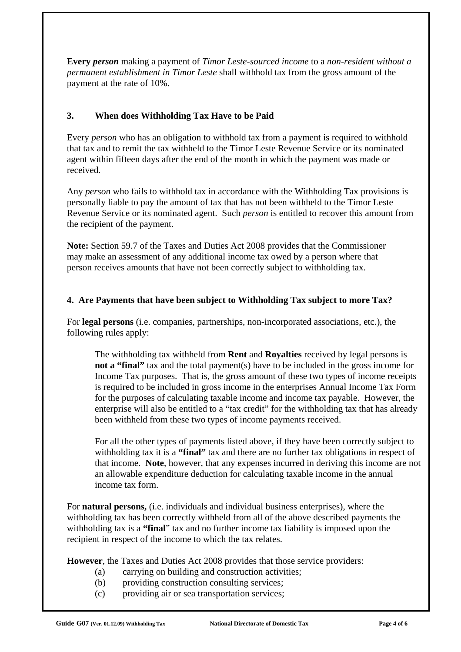**Every** *person* making a payment of *Timor Leste-sourced income* to a *non-resident without a permanent establishment in Timor Leste* shall withhold tax from the gross amount of the payment at the rate of 10%.

# **3. When does Withholding Tax Have to be Paid**

Every *person* who has an obligation to withhold tax from a payment is required to withhold that tax and to remit the tax withheld to the Timor Leste Revenue Service or its nominated agent within fifteen days after the end of the month in which the payment was made or received.

Any *person* who fails to withhold tax in accordance with the Withholding Tax provisions is personally liable to pay the amount of tax that has not been withheld to the Timor Leste Revenue Service or its nominated agent. Such *person* is entitled to recover this amount from the recipient of the payment.

**Note:** Section 59.7 of the Taxes and Duties Act 2008 provides that the Commissioner may make an assessment of any additional income tax owed by a person where that person receives amounts that have not been correctly subject to withholding tax.

# **4. Are Payments that have been subject to Withholding Tax subject to more Tax?**

For **legal persons** (i.e. companies, partnerships, non-incorporated associations, etc.), the following rules apply:

The withholding tax withheld from **Rent** and **Royalties** received by legal persons is **not a "final"** tax and the total payment(s) have to be included in the gross income for Income Tax purposes. That is, the gross amount of these two types of income receipts is required to be included in gross income in the enterprises Annual Income Tax Form for the purposes of calculating taxable income and income tax payable. However, the enterprise will also be entitled to a "tax credit" for the withholding tax that has already been withheld from these two types of income payments received.

For all the other types of payments listed above, if they have been correctly subject to withholding tax it is a **"final"** tax and there are no further tax obligations in respect of that income. **Note**, however, that any expenses incurred in deriving this income are not an allowable expenditure deduction for calculating taxable income in the annual income tax form.

For **natural persons,** (i.e. individuals and individual business enterprises), where the withholding tax has been correctly withheld from all of the above described payments the withholding tax is a **"final**" tax and no further income tax liability is imposed upon the recipient in respect of the income to which the tax relates.

**However**, the Taxes and Duties Act 2008 provides that those service providers:

- (a) carrying on building and construction activities;
- (b) providing construction consulting services;
- (c) providing air or sea transportation services;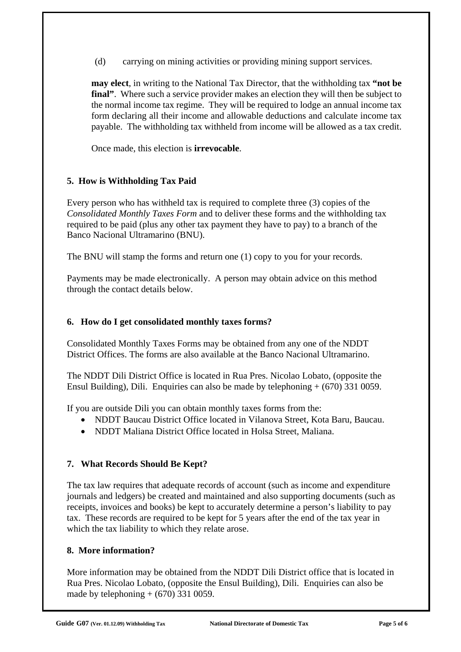(d) carrying on mining activities or providing mining support services.

**may elect**, in writing to the National Tax Director, that the withholding tax **"not be final"**. Where such a service provider makes an election they will then be subject to the normal income tax regime. They will be required to lodge an annual income tax form declaring all their income and allowable deductions and calculate income tax payable. The withholding tax withheld from income will be allowed as a tax credit.

Once made, this election is **irrevocable**.

# **5. How is Withholding Tax Paid**

Every person who has withheld tax is required to complete three (3) copies of the *Consolidated Monthly Taxes Form* and to deliver these forms and the withholding tax required to be paid (plus any other tax payment they have to pay) to a branch of the Banco Nacional Ultramarino (BNU).

The BNU will stamp the forms and return one (1) copy to you for your records.

Payments may be made electronically. A person may obtain advice on this method through the contact details below.

#### **6. How do I get consolidated monthly taxes forms?**

Consolidated Monthly Taxes Forms may be obtained from any one of the NDDT District Offices. The forms are also available at the Banco Nacional Ultramarino.

The NDDT Dili District Office is located in Rua Pres. Nicolao Lobato, (opposite the Ensul Building), Dili. Enquiries can also be made by telephoning + (670) 331 0059.

If you are outside Dili you can obtain monthly taxes forms from the:

- NDDT Baucau District Office located in Vilanova Street, Kota Baru, Baucau.
- NDDT Maliana District Office located in Holsa Street, Maliana.

# **7. What Records Should Be Kept?**

The tax law requires that adequate records of account (such as income and expenditure journals and ledgers) be created and maintained and also supporting documents (such as receipts, invoices and books) be kept to accurately determine a person's liability to pay tax. These records are required to be kept for 5 years after the end of the tax year in which the tax liability to which they relate arose.

# **8. More information?**

More information may be obtained from the NDDT Dili District office that is located in Rua Pres. Nicolao Lobato, (opposite the Ensul Building), Dili. Enquiries can also be made by telephoning  $+$  (670) 331 0059.